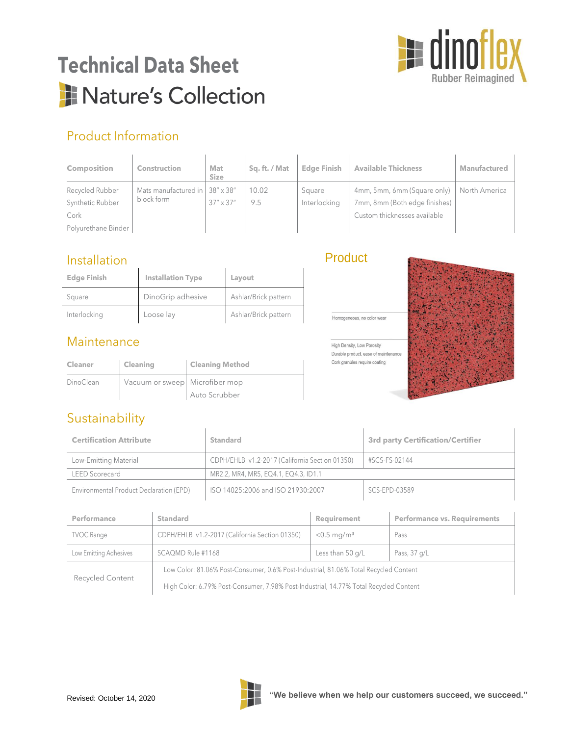

# **Technical Data Sheet** Nature's Collection

## Product Information

| <b>Composition</b>  | <b>Construction</b>                          | Mat<br><b>Size</b> | Sq. ft. / Mat | <b>Edge Finish</b> | <b>Available Thickness</b>    | Manufactured  |
|---------------------|----------------------------------------------|--------------------|---------------|--------------------|-------------------------------|---------------|
| Recycled Rubber     | Mats manufactured in $\frac{1}{2}$ 38" x 38" |                    | 10.02         | Square             | 4mm, 5mm, 6mm (Square only)   | North America |
| Synthetic Rubber    | block form                                   | $37'' \times 37''$ | 9.5           | Interlocking       | 7mm, 8mm (Both edge finishes) |               |
| Cork                |                                              |                    |               |                    | Custom thicknesses available  |               |
| Polyurethane Binder |                                              |                    |               |                    |                               |               |

Product

Homogeneous, no color wear

High Density, Low Porosity Durable product, ease of maintenance Cork granules require coating

#### Installation

| <b>Edge Finish</b> | <b>Installation Type</b> | Layout               |
|--------------------|--------------------------|----------------------|
| Square             | DinoGrip adhesive        | Ashlar/Brick pattern |
| Interlocking       | Loose lay                | Ashlar/Brick pattern |

#### Maintenance

| <b>Cleaner</b> | <b>Cleaning</b>                | <b>Cleaning Method</b> |
|----------------|--------------------------------|------------------------|
| DinoClean      | Vacuum or sweep Microfiber mop |                        |
|                |                                | Auto Scrubber          |

### Sustainability

| <b>Certification Attribute</b>          | Standard                                       | <b>3rd party Certification/Certifier</b> |  |
|-----------------------------------------|------------------------------------------------|------------------------------------------|--|
| Low-Emitting Material                   | CDPH/EHLB v1.2-2017 (California Section 01350) | #SCS-FS-02144                            |  |
| LEED Scorecard                          | MR2.2, MR4, MR5, EQ4.1, EQ4.3, ID1.1           |                                          |  |
| Environmental Product Declaration (EPD) | ISO 14025:2006 and ISO 21930:2007              | SCS-EPD-03589                            |  |

| Performance            | Standard                                                                              | Requirement               | <b>Performance vs. Requirements</b> |  |  |
|------------------------|---------------------------------------------------------------------------------------|---------------------------|-------------------------------------|--|--|
| <b>TVOC Range</b>      | CDPH/EHLB v1.2-2017 (California Section 01350)                                        | $< 0.5$ mg/m <sup>3</sup> | Pass                                |  |  |
| Low Emitting Adhesives | SCAQMD Rule #1168                                                                     | Less than 50 g/L          | Pass, 37 g/L                        |  |  |
| Recycled Content       | Low Color: 81.06% Post-Consumer, 0.6% Post-Industrial, 81.06% Total Recycled Content  |                           |                                     |  |  |
|                        | High Color: 6.79% Post-Consumer, 7.98% Post-Industrial, 14.77% Total Recycled Content |                           |                                     |  |  |